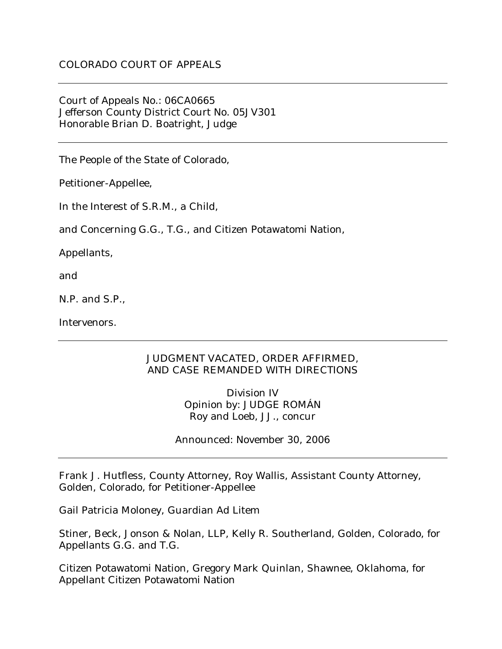Court of Appeals No.: 06CA0665 Jefferson County District Court No. 05JV301 Honorable Brian D. Boatright, Judge

The People of the State of Colorado,

Petitioner-Appellee,

In the Interest of S.R.M., a Child,

and Concerning G.G., T.G., and Citizen Potawatomi Nation,

Appellants,

and

N.P. and S.P.,

Intervenors.

## JUDGMENT VACATED, ORDER AFFIRMED, AND CASE REMANDED WITH DIRECTIONS

Division IV Opinion by: JUDGE ROMÁN Roy and Loeb, JJ., concur

Announced: November 30, 2006

Frank J. Hutfless, County Attorney, Roy Wallis, Assistant County Attorney, Golden, Colorado, for Petitioner-Appellee

Gail Patricia Moloney, Guardian Ad Litem

Stiner, Beck, Jonson & Nolan, LLP, Kelly R. Southerland, Golden, Colorado, for Appellants G.G. and T.G.

Citizen Potawatomi Nation, Gregory Mark Quinlan, Shawnee, Oklahoma, for Appellant Citizen Potawatomi Nation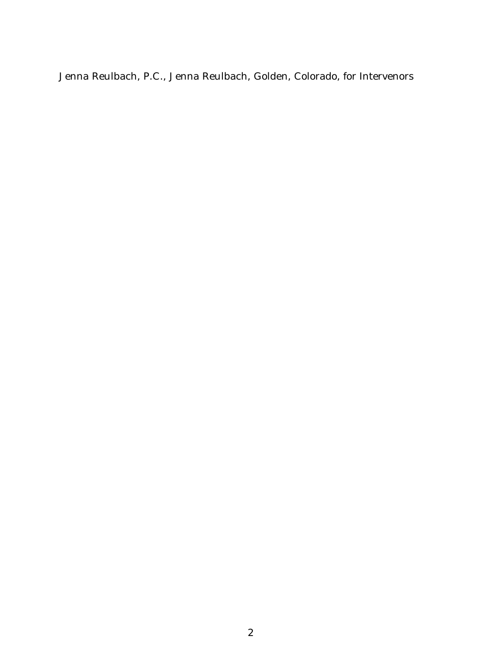Jenna Reulbach, P.C., Jenna Reulbach, Golden, Colorado, for Intervenors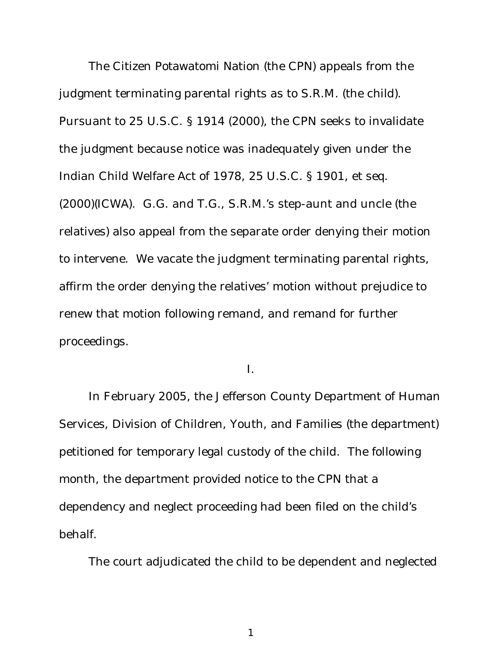The Citizen Potawatomi Nation (the CPN) appeals from the judgment terminating parental rights as to S.R.M. (the child). Pursuant to 25 U.S.C. § 1914 (2000), the CPN seeks to invalidate the judgment because notice was inadequately given under the Indian Child Welfare Act of 1978, 25 U.S.C. § 1901, et seq. (2000)(ICWA). G.G. and T.G., S.R.M.'s step-aunt and uncle (the relatives) also appeal from the separate order denying their motion to intervene. We vacate the judgment terminating parental rights, affirm the order denying the relatives' motion without prejudice to renew that motion following remand, and remand for further proceedings.

I.

In February 2005, the Jefferson County Department of Human Services, Division of Children, Youth, and Families (the department) petitioned for temporary legal custody of the child. The following month, the department provided notice to the CPN that a dependency and neglect proceeding had been filed on the child's behalf.

The court adjudicated the child to be dependent and neglected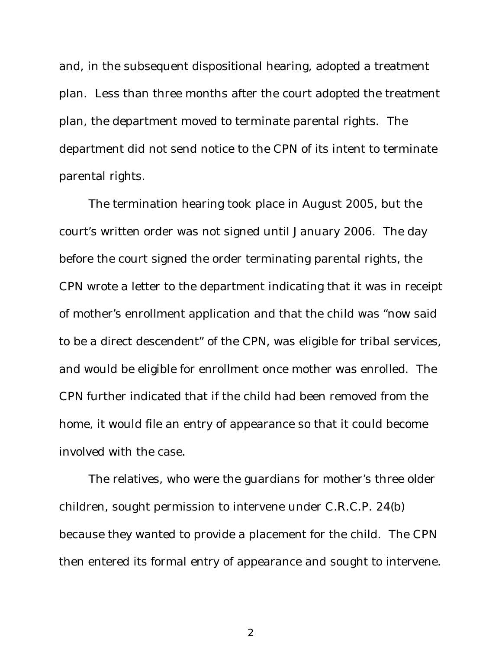and, in the subsequent dispositional hearing, adopted a treatment plan. Less than three months after the court adopted the treatment plan, the department moved to terminate parental rights. The department did not send notice to the CPN of its intent to terminate parental rights.

The termination hearing took place in August 2005, but the court's written order was not signed until January 2006. The day before the court signed the order terminating parental rights, the CPN wrote a letter to the department indicating that it was in receipt of mother's enrollment application and that the child was "now said to be a direct descendent" of the CPN, was eligible for tribal services, and would be eligible for enrollment once mother was enrolled. The CPN further indicated that if the child had been removed from the home, it would file an entry of appearance so that it could become involved with the case.

The relatives, who were the guardians for mother's three older children, sought permission to intervene under C.R.C.P. 24(b) because they wanted to provide a placement for the child. The CPN then entered its formal entry of appearance and sought to intervene.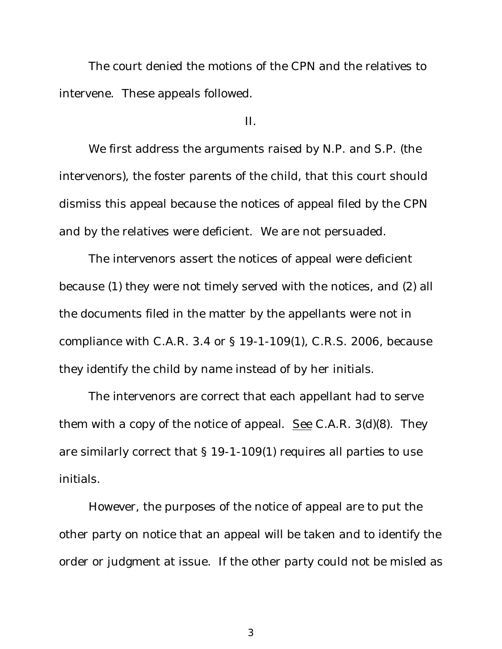The court denied the motions of the CPN and the relatives to intervene. These appeals followed.

II.

We first address the arguments raised by N.P. and S.P. (the intervenors), the foster parents of the child, that this court should dismiss this appeal because the notices of appeal filed by the CPN and by the relatives were deficient. We are not persuaded.

The intervenors assert the notices of appeal were deficient because (1) they were not timely served with the notices, and (2) all the documents filed in the matter by the appellants were not in compliance with C.A.R. 3.4 or § 19-1-109(1), C.R.S. 2006, because they identify the child by name instead of by her initials.

The intervenors are correct that each appellant had to serve them with a copy of the notice of appeal. See C.A.R. 3(d)(8). They are similarly correct that § 19-1-109(1) requires all parties to use initials.

However, the purposes of the notice of appeal are to put the other party on notice that an appeal will be taken and to identify the order or judgment at issue. If the other party could not be misled as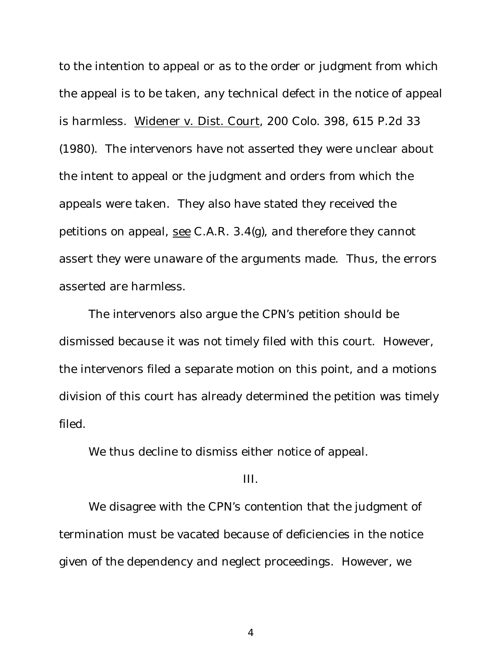to the intention to appeal or as to the order or judgment from which the appeal is to be taken, any technical defect in the notice of appeal is harmless. Widener v. Dist. Court, 200 Colo. 398, 615 P.2d 33 (1980). The intervenors have not asserted they were unclear about the intent to appeal or the judgment and orders from which the appeals were taken. They also have stated they received the petitions on appeal, see C.A.R. 3.4(g), and therefore they cannot assert they were unaware of the arguments made. Thus, the errors asserted are harmless.

The intervenors also argue the CPN's petition should be dismissed because it was not timely filed with this court. However, the intervenors filed a separate motion on this point, and a motions division of this court has already determined the petition was timely filed.

We thus decline to dismiss either notice of appeal.

## III.

We disagree with the CPN's contention that the judgment of termination must be vacated because of deficiencies in the notice given of the dependency and neglect proceedings. However, we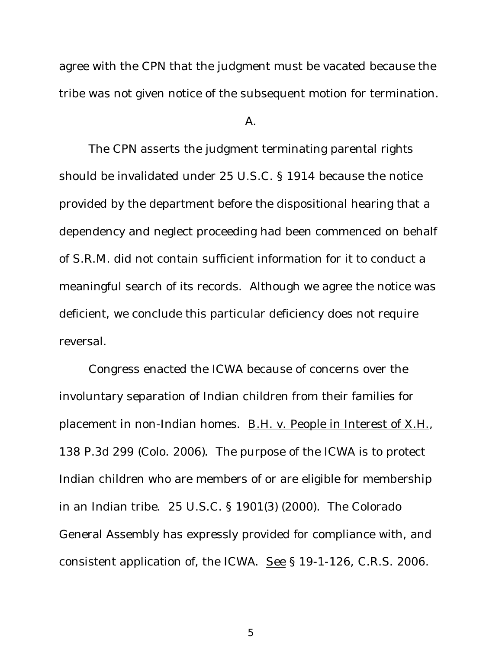agree with the CPN that the judgment must be vacated because the tribe was not given notice of the subsequent motion for termination.

A.

The CPN asserts the judgment terminating parental rights should be invalidated under 25 U.S.C. § 1914 because the notice provided by the department before the dispositional hearing that a dependency and neglect proceeding had been commenced on behalf of S.R.M. did not contain sufficient information for it to conduct a meaningful search of its records. Although we agree the notice was deficient, we conclude this particular deficiency does not require reversal.

Congress enacted the ICWA because of concerns over the involuntary separation of Indian children from their families for placement in non-Indian homes. B.H. v. People in Interest of X.H., 138 P.3d 299 (Colo. 2006). The purpose of the ICWA is to protect Indian children who are members of or are eligible for membership in an Indian tribe. 25 U.S.C. § 1901(3) (2000). The Colorado General Assembly has expressly provided for compliance with, and consistent application of, the ICWA. See § 19-1-126, C.R.S. 2006.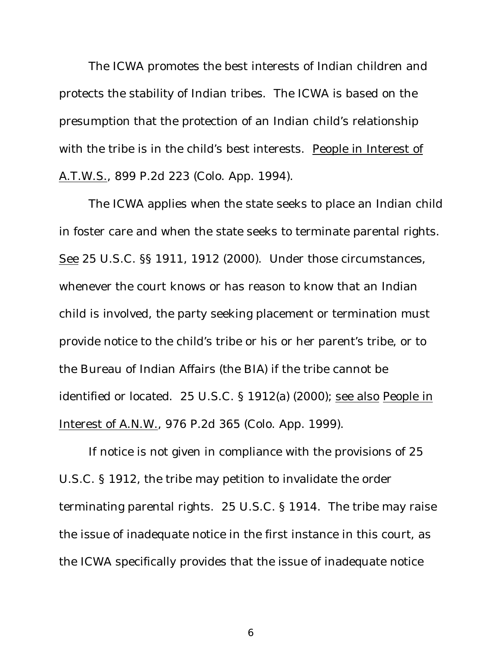The ICWA promotes the best interests of Indian children and protects the stability of Indian tribes. The ICWA is based on the presumption that the protection of an Indian child's relationship with the tribe is in the child's best interests. People in Interest of A.T.W.S., 899 P.2d 223 (Colo. App. 1994).

The ICWA applies when the state seeks to place an Indian child in foster care and when the state seeks to terminate parental rights. See 25 U.S.C. §§ 1911, 1912 (2000). Under those circumstances, whenever the court knows or has reason to know that an Indian child is involved, the party seeking placement or termination must provide notice to the child's tribe or his or her parent's tribe, or to the Bureau of Indian Affairs (the BIA) if the tribe cannot be identified or located. 25 U.S.C. § 1912(a) (2000); see also People in Interest of A.N.W., 976 P.2d 365 (Colo. App. 1999).

If notice is not given in compliance with the provisions of 25 U.S.C. § 1912, the tribe may petition to invalidate the order terminating parental rights. 25 U.S.C. § 1914. The tribe may raise the issue of inadequate notice in the first instance in this court, as the ICWA specifically provides that the issue of inadequate notice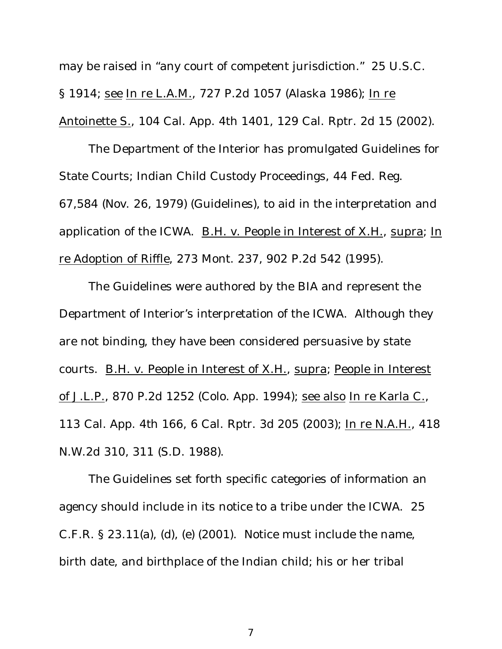may be raised in "any court of competent jurisdiction." 25 U.S.C. § 1914; see In re L.A.M., 727 P.2d 1057 (Alaska 1986); In re Antoinette S., 104 Cal. App. 4th 1401, 129 Cal. Rptr. 2d 15 (2002).

The Department of the Interior has promulgated Guidelines for State Courts; Indian Child Custody Proceedings, 44 Fed. Reg. 67,584 (Nov. 26, 1979) (Guidelines), to aid in the interpretation and application of the ICWA. B.H. v. People in Interest of X.H., supra; In re Adoption of Riffle, 273 Mont. 237, 902 P.2d 542 (1995).

The Guidelines were authored by the BIA and represent the Department of Interior's interpretation of the ICWA. Although they are not binding, they have been considered persuasive by state courts. B.H. v. People in Interest of X.H., supra; People in Interest of J.L.P., 870 P.2d 1252 (Colo. App. 1994); see also In re Karla C., 113 Cal. App. 4th 166, 6 Cal. Rptr. 3d 205 (2003); In re N.A.H., 418 N.W.2d 310, 311 (S.D. 1988).

The Guidelines set forth specific categories of information an agency should include in its notice to a tribe under the ICWA. 25 C.F.R. § 23.11(a), (d), (e) (2001). Notice must include the name, birth date, and birthplace of the Indian child; his or her tribal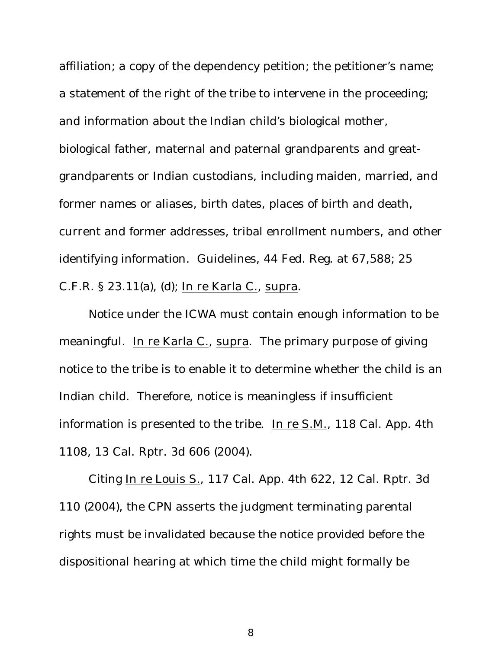affiliation; a copy of the dependency petition; the petitioner's name; a statement of the right of the tribe to intervene in the proceeding; and information about the Indian child's biological mother, biological father, maternal and paternal grandparents and greatgrandparents or Indian custodians, including maiden, married, and former names or aliases, birth dates, places of birth and death, current and former addresses, tribal enrollment numbers, and other identifying information. Guidelines, 44 Fed. Reg. at 67,588; 25 C.F.R. § 23.11(a), (d); In re Karla C., supra.

Notice under the ICWA must contain enough information to be meaningful. In re Karla C., supra. The primary purpose of giving notice to the tribe is to enable it to determine whether the child is an Indian child. Therefore, notice is meaningless if insufficient information is presented to the tribe. In re S.M., 118 Cal. App. 4th 1108, 13 Cal. Rptr. 3d 606 (2004).

Citing In re Louis S., 117 Cal. App. 4th 622, 12 Cal. Rptr. 3d 110 (2004), the CPN asserts the judgment terminating parental rights must be invalidated because the notice provided before the dispositional hearing at which time the child might formally be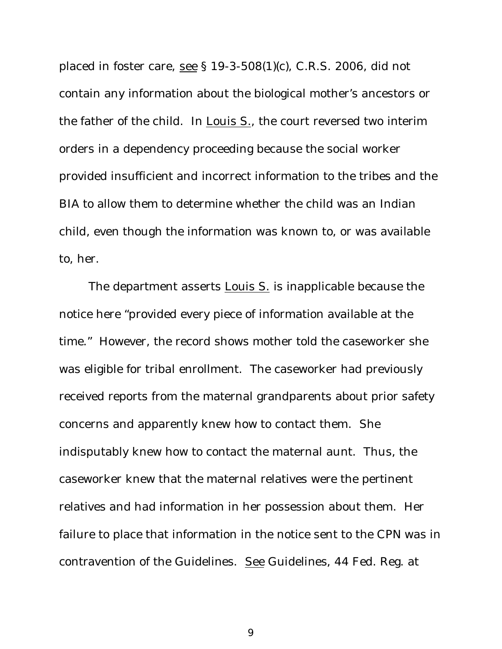placed in foster care, see § 19-3-508(1)(c), C.R.S. 2006, did not contain any information about the biological mother's ancestors or the father of the child. In Louis S., the court reversed two interim orders in a dependency proceeding because the social worker provided insufficient and incorrect information to the tribes and the BIA to allow them to determine whether the child was an Indian child, even though the information was known to, or was available to, her.

The department asserts Louis S. is inapplicable because the notice here "provided every piece of information available at the time." However, the record shows mother told the caseworker she was eligible for tribal enrollment. The caseworker had previously received reports from the maternal grandparents about prior safety concerns and apparently knew how to contact them. She indisputably knew how to contact the maternal aunt. Thus, the caseworker knew that the maternal relatives were the pertinent relatives and had information in her possession about them. Her failure to place that information in the notice sent to the CPN was in contravention of the Guidelines. See Guidelines, 44 Fed. Reg. at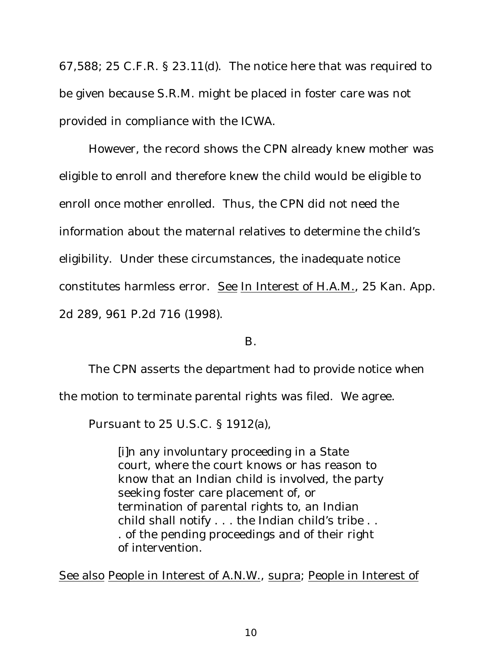67,588; 25 C.F.R. § 23.11(d). The notice here that was required to be given because S.R.M. might be placed in foster care was not provided in compliance with the ICWA.

However, the record shows the CPN already knew mother was eligible to enroll and therefore knew the child would be eligible to enroll once mother enrolled. Thus, the CPN did not need the information about the maternal relatives to determine the child's eligibility. Under these circumstances, the inadequate notice constitutes harmless error. See In Interest of H.A.M., 25 Kan. App. 2d 289, 961 P.2d 716 (1998).

B.

The CPN asserts the department had to provide notice when

the motion to terminate parental rights was filed. We agree.

Pursuant to 25 U.S.C. § 1912(a),

[i]n any involuntary proceeding in a State court, where the court knows or has reason to know that an Indian child is involved, the party seeking foster care placement of, or termination of parental rights to, an Indian child shall notify . . . the Indian child's tribe . . . of the pending proceedings and of their right of intervention.

See also People in Interest of A.N.W., supra; People in Interest of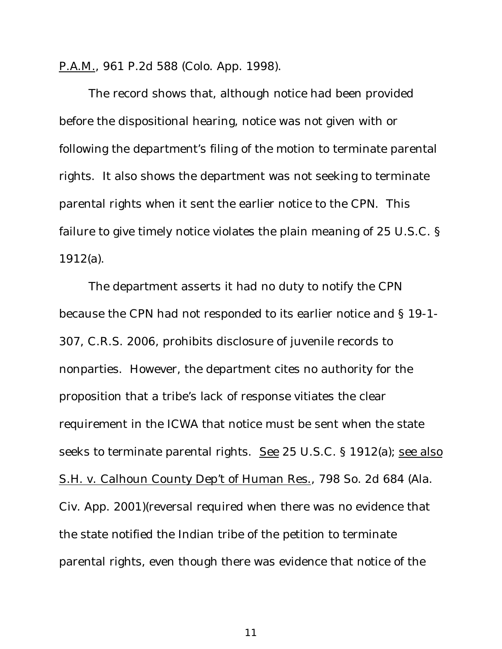P.A.M., 961 P.2d 588 (Colo. App. 1998).

The record shows that, although notice had been provided before the dispositional hearing, notice was not given with or following the department's filing of the motion to terminate parental rights. It also shows the department was not seeking to terminate parental rights when it sent the earlier notice to the CPN. This failure to give timely notice violates the plain meaning of 25 U.S.C. § 1912(a).

The department asserts it had no duty to notify the CPN because the CPN had not responded to its earlier notice and § 19-1- 307, C.R.S. 2006, prohibits disclosure of juvenile records to nonparties. However, the department cites no authority for the proposition that a tribe's lack of response vitiates the clear requirement in the ICWA that notice must be sent when the state seeks to terminate parental rights. See 25 U.S.C. § 1912(a); see also S.H. v. Calhoun County Dep't of Human Res., 798 So. 2d 684 (Ala. Civ. App. 2001)(reversal required when there was no evidence that the state notified the Indian tribe of the petition to terminate parental rights, even though there was evidence that notice of the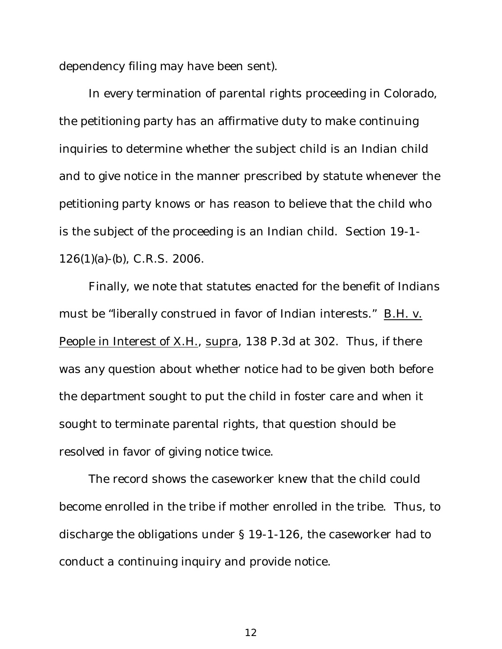dependency filing may have been sent).

In every termination of parental rights proceeding in Colorado, the petitioning party has an affirmative duty to make continuing inquiries to determine whether the subject child is an Indian child and to give notice in the manner prescribed by statute whenever the petitioning party knows or has reason to believe that the child who is the subject of the proceeding is an Indian child. Section 19-1- 126(1)(a)-(b), C.R.S. 2006.

Finally, we note that statutes enacted for the benefit of Indians must be "liberally construed in favor of Indian interests." B.H. v. People in Interest of X.H., supra, 138 P.3d at 302. Thus, if there was any question about whether notice had to be given both before the department sought to put the child in foster care and when it sought to terminate parental rights, that question should be resolved in favor of giving notice twice.

The record shows the caseworker knew that the child could become enrolled in the tribe if mother enrolled in the tribe. Thus, to discharge the obligations under § 19-1-126, the caseworker had to conduct a continuing inquiry and provide notice.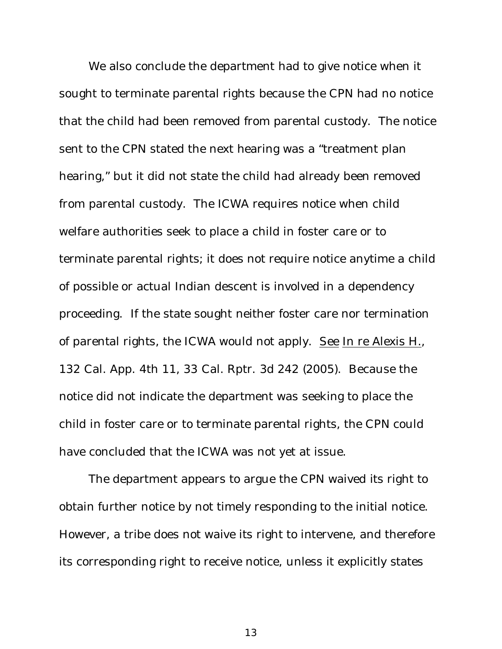We also conclude the department had to give notice when it sought to terminate parental rights because the CPN had no notice that the child had been removed from parental custody. The notice sent to the CPN stated the next hearing was a "treatment plan hearing," but it did not state the child had already been removed from parental custody. The ICWA requires notice when child welfare authorities seek to place a child in foster care or to terminate parental rights; it does not require notice anytime a child of possible or actual Indian descent is involved in a dependency proceeding. If the state sought neither foster care nor termination of parental rights, the ICWA would not apply. See In re Alexis H., 132 Cal. App. 4th 11, 33 Cal. Rptr. 3d 242 (2005). Because the notice did not indicate the department was seeking to place the child in foster care or to terminate parental rights, the CPN could have concluded that the ICWA was not yet at issue.

The department appears to argue the CPN waived its right to obtain further notice by not timely responding to the initial notice. However, a tribe does not waive its right to intervene, and therefore its corresponding right to receive notice, unless it explicitly states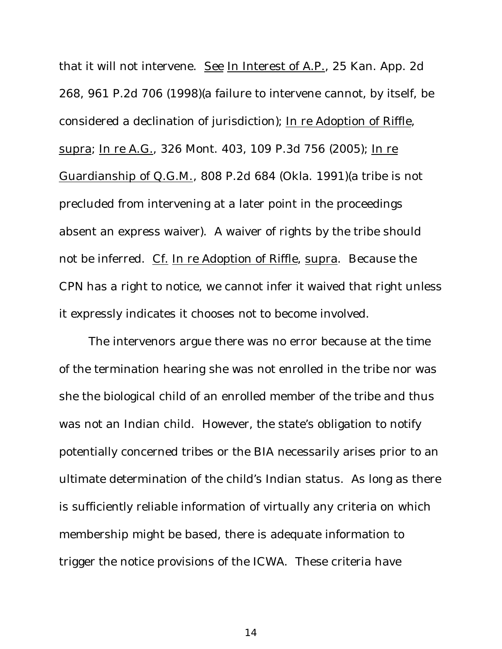that it will not intervene. See In Interest of A.P., 25 Kan. App. 2d 268, 961 P.2d 706 (1998)(a failure to intervene cannot, by itself, be considered a declination of jurisdiction); In re Adoption of Riffle, supra; In re A.G., 326 Mont. 403, 109 P.3d 756 (2005); In re Guardianship of Q.G.M., 808 P.2d 684 (Okla. 1991)(a tribe is not precluded from intervening at a later point in the proceedings absent an express waiver). A waiver of rights by the tribe should not be inferred. Cf. In re Adoption of Riffle, supra. Because the CPN has a right to notice, we cannot infer it waived that right unless it expressly indicates it chooses not to become involved.

The intervenors argue there was no error because at the time of the termination hearing she was not enrolled in the tribe nor was she the biological child of an enrolled member of the tribe and thus was not an Indian child. However, the state's obligation to notify potentially concerned tribes or the BIA necessarily arises prior to an ultimate determination of the child's Indian status. As long as there is sufficiently reliable information of virtually any criteria on which membership might be based, there is adequate information to trigger the notice provisions of the ICWA. These criteria have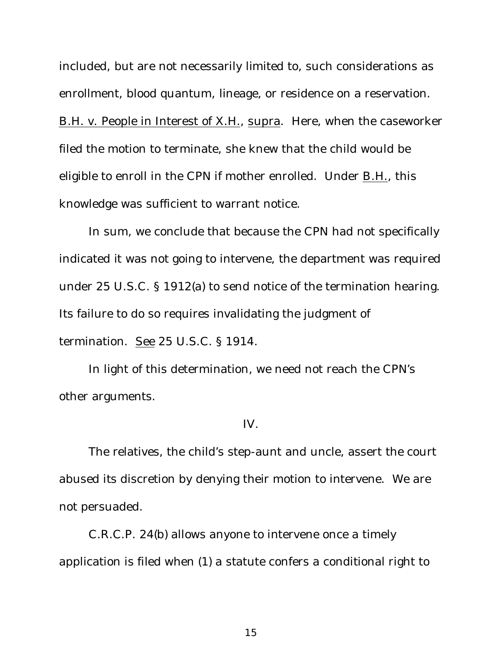included, but are not necessarily limited to, such considerations as enrollment, blood quantum, lineage, or residence on a reservation. B.H. v. People in Interest of X.H., supra. Here, when the caseworker filed the motion to terminate, she knew that the child would be eligible to enroll in the CPN if mother enrolled. Under B.H., this knowledge was sufficient to warrant notice.

In sum, we conclude that because the CPN had not specifically indicated it was not going to intervene, the department was required under 25 U.S.C. § 1912(a) to send notice of the termination hearing. Its failure to do so requires invalidating the judgment of termination. See 25 U.S.C. § 1914.

In light of this determination, we need not reach the CPN's other arguments.

## IV.

The relatives, the child's step-aunt and uncle, assert the court abused its discretion by denying their motion to intervene. We are not persuaded.

C.R.C.P. 24(b) allows anyone to intervene once a timely application is filed when (1) a statute confers a conditional right to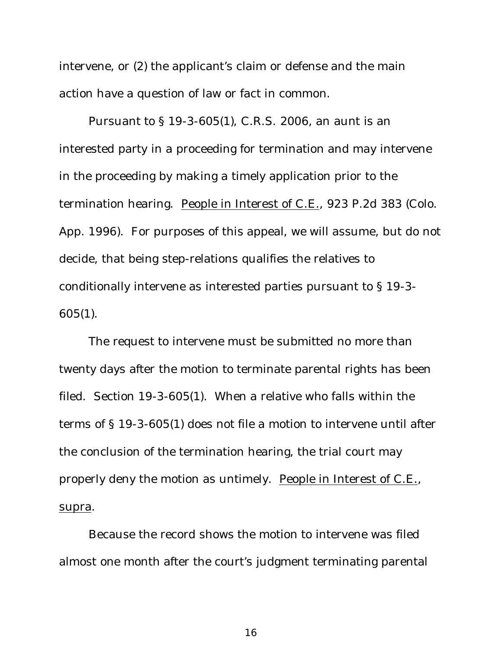intervene, or (2) the applicant's claim or defense and the main action have a question of law or fact in common.

Pursuant to § 19-3-605(1), C.R.S. 2006, an aunt is an interested party in a proceeding for termination and may intervene in the proceeding by making a timely application prior to the termination hearing. People in Interest of C.E., 923 P.2d 383 (Colo. App. 1996). For purposes of this appeal, we will assume, but do not decide, that being step-relations qualifies the relatives to conditionally intervene as interested parties pursuant to § 19-3- 605(1).

The request to intervene must be submitted no more than twenty days after the motion to terminate parental rights has been filed. Section 19-3-605(1). When a relative who falls within the terms of § 19-3-605(1) does not file a motion to intervene until after the conclusion of the termination hearing, the trial court may properly deny the motion as untimely. People in Interest of C.E., supra.

Because the record shows the motion to intervene was filed almost one month after the court's judgment terminating parental